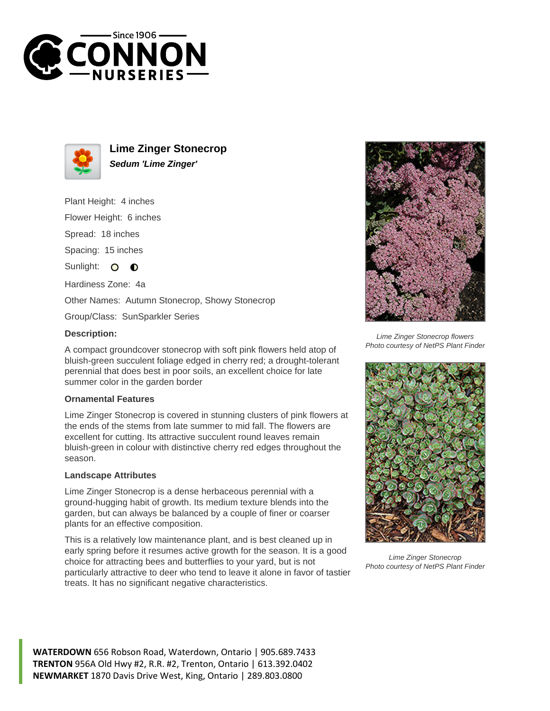



**Lime Zinger Stonecrop Sedum 'Lime Zinger'**

Plant Height: 4 inches

Flower Height: 6 inches

Spread: 18 inches

Spacing: 15 inches

Sunlight:  $\bullet$  $\bullet$ 

Hardiness Zone: 4a

Other Names: Autumn Stonecrop, Showy Stonecrop

Group/Class: SunSparkler Series

## **Description:**

A compact groundcover stonecrop with soft pink flowers held atop of bluish-green succulent foliage edged in cherry red; a drought-tolerant perennial that does best in poor soils, an excellent choice for late summer color in the garden border

## **Ornamental Features**

Lime Zinger Stonecrop is covered in stunning clusters of pink flowers at the ends of the stems from late summer to mid fall. The flowers are excellent for cutting. Its attractive succulent round leaves remain bluish-green in colour with distinctive cherry red edges throughout the season.

## **Landscape Attributes**

Lime Zinger Stonecrop is a dense herbaceous perennial with a ground-hugging habit of growth. Its medium texture blends into the garden, but can always be balanced by a couple of finer or coarser plants for an effective composition.

This is a relatively low maintenance plant, and is best cleaned up in early spring before it resumes active growth for the season. It is a good choice for attracting bees and butterflies to your yard, but is not particularly attractive to deer who tend to leave it alone in favor of tastier treats. It has no significant negative characteristics.



Lime Zinger Stonecrop flowers Photo courtesy of NetPS Plant Finder



Lime Zinger Stonecrop Photo courtesy of NetPS Plant Finder

**WATERDOWN** 656 Robson Road, Waterdown, Ontario | 905.689.7433 **TRENTON** 956A Old Hwy #2, R.R. #2, Trenton, Ontario | 613.392.0402 **NEWMARKET** 1870 Davis Drive West, King, Ontario | 289.803.0800